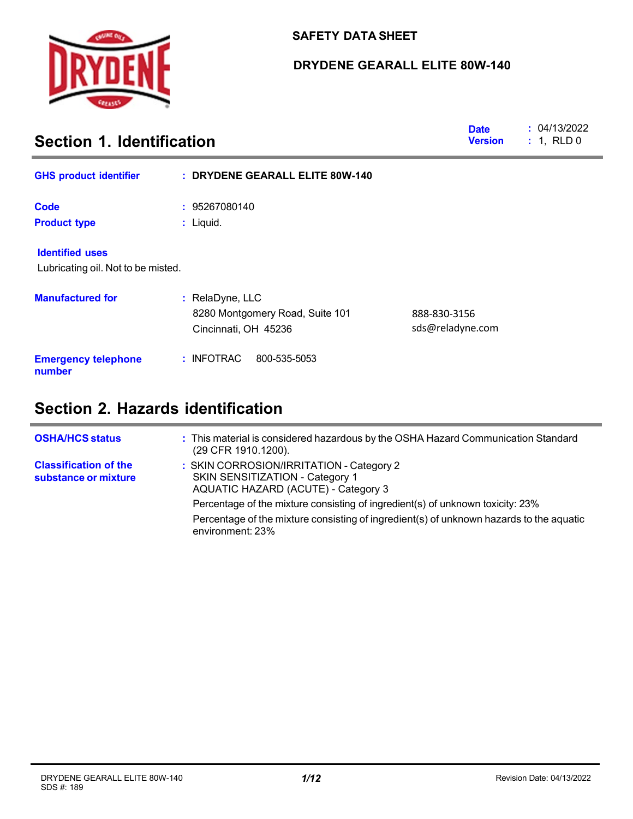

## **SAFETY DATA SHEET**

## **DRYDENE GEARALL ELITE 80W-140**

| <b>Date</b><br>Section 1. Identification<br><b>Version</b>   |                                                                            |                                  | : 04/13/2022<br>: 1, RLD0 |
|--------------------------------------------------------------|----------------------------------------------------------------------------|----------------------------------|---------------------------|
| <b>GHS product identifier</b>                                | : DRYDENE GEARALL ELITE 80W-140                                            |                                  |                           |
| <b>Code</b>                                                  | : 95267080140                                                              |                                  |                           |
| <b>Product type</b>                                          | : Liquid.                                                                  |                                  |                           |
| <b>Identified uses</b><br>Lubricating oil. Not to be misted. |                                                                            |                                  |                           |
| <b>Manufactured for</b>                                      | : RelaDyne, LLC<br>8280 Montgomery Road, Suite 101<br>Cincinnati, OH 45236 | 888-830-3156<br>sds@reladyne.com |                           |
| <b>Emergency telephone</b><br>number                         | : INFOTRAC<br>800-535-5053                                                 |                                  |                           |

# **Section 2. Hazards identification**

| <b>OSHA/HCS status</b>                               | : This material is considered hazardous by the OSHA Hazard Communication Standard<br>(29 CFR 1910.1200).           |
|------------------------------------------------------|--------------------------------------------------------------------------------------------------------------------|
| <b>Classification of the</b><br>substance or mixture | : SKIN CORROSION/IRRITATION - Category 2<br>SKIN SENSITIZATION - Category 1<br>AQUATIC HAZARD (ACUTE) - Category 3 |
|                                                      | Percentage of the mixture consisting of ingredient(s) of unknown toxicity: 23%                                     |
|                                                      | Percentage of the mixture consisting of ingredient(s) of unknown hazards to the aquatic<br>environment: 23%        |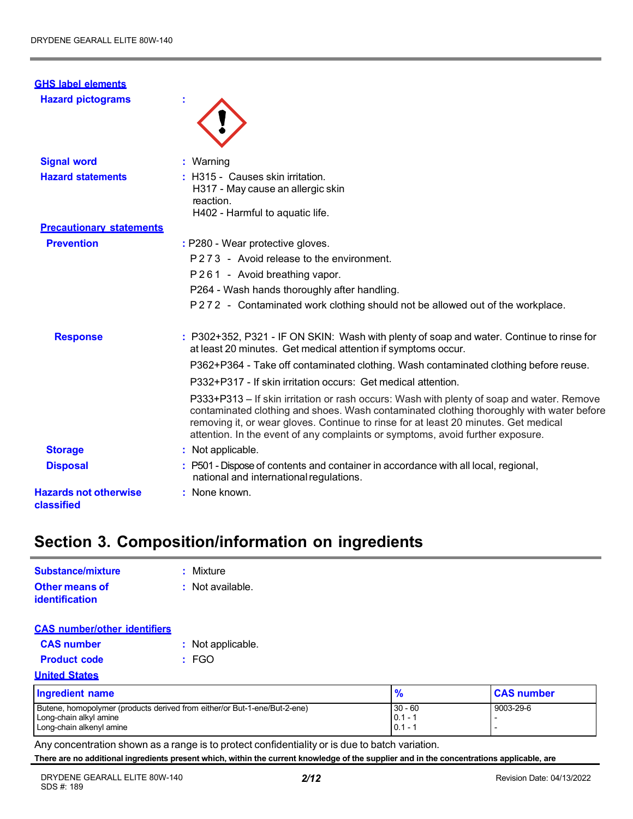| <b>GHS label elements</b>                  |                                                                                                                                                                                                                                                                                                                                                                |
|--------------------------------------------|----------------------------------------------------------------------------------------------------------------------------------------------------------------------------------------------------------------------------------------------------------------------------------------------------------------------------------------------------------------|
| <b>Hazard pictograms</b>                   |                                                                                                                                                                                                                                                                                                                                                                |
| <b>Signal word</b>                         | : Warning                                                                                                                                                                                                                                                                                                                                                      |
| <b>Hazard statements</b>                   | : H315 - Causes skin irritation.<br>H317 - May cause an allergic skin<br>reaction.<br>H402 - Harmful to aquatic life.                                                                                                                                                                                                                                          |
| <b>Precautionary statements</b>            |                                                                                                                                                                                                                                                                                                                                                                |
| <b>Prevention</b>                          | : P280 - Wear protective gloves.                                                                                                                                                                                                                                                                                                                               |
|                                            | P273 - Avoid release to the environment.                                                                                                                                                                                                                                                                                                                       |
|                                            | P261 - Avoid breathing vapor.                                                                                                                                                                                                                                                                                                                                  |
|                                            | P264 - Wash hands thoroughly after handling.                                                                                                                                                                                                                                                                                                                   |
|                                            | P272 - Contaminated work clothing should not be allowed out of the workplace.                                                                                                                                                                                                                                                                                  |
| <b>Response</b>                            | : P302+352, P321 - IF ON SKIN: Wash with plenty of soap and water. Continue to rinse for<br>at least 20 minutes. Get medical attention if symptoms occur.                                                                                                                                                                                                      |
|                                            | P362+P364 - Take off contaminated clothing. Wash contaminated clothing before reuse.                                                                                                                                                                                                                                                                           |
|                                            | P332+P317 - If skin irritation occurs: Get medical attention.                                                                                                                                                                                                                                                                                                  |
|                                            | P333+P313 - If skin irritation or rash occurs: Wash with plenty of soap and water. Remove<br>contaminated clothing and shoes. Wash contaminated clothing thoroughly with water before<br>removing it, or wear gloves. Continue to rinse for at least 20 minutes. Get medical<br>attention. In the event of any complaints or symptoms, avoid further exposure. |
| <b>Storage</b>                             | : Not applicable.                                                                                                                                                                                                                                                                                                                                              |
| <b>Disposal</b>                            | : P501 - Dispose of contents and container in accordance with all local, regional,<br>national and international regulations.                                                                                                                                                                                                                                  |
| <b>Hazards not otherwise</b><br>classified | : None known.                                                                                                                                                                                                                                                                                                                                                  |

# **Section 3. Composition/information on ingredients**

| Substance/mixture                       | : Mixture          |
|-----------------------------------------|--------------------|
| <b>Other means of</b><br>identification | $:$ Not available. |
| <b>CAS</b> number/other identifiers     |                    |
| <b>CAS number</b>                       | : Not applicable.  |

|  |  | <b>CAS NUMBER</b> |  |
|--|--|-------------------|--|
|  |  |                   |  |

- 
- **Product code :** FGO

### **United States**

| Ingredient name                                                           |           | <b>CAS number</b> |
|---------------------------------------------------------------------------|-----------|-------------------|
| Butene, homopolymer (products derived from either/or But-1-ene/But-2-ene) | $30 - 60$ | 9003-29-6         |
| Long-chain alkyl amine                                                    | $0.1 - 1$ |                   |
| Long-chain alkenyl amine                                                  | $0.1 - 7$ |                   |

Any concentration shown as a range is to protect confidentiality or is due to batch variation.

**There are no additional ingredients present which, within the current knowledge of the supplier and in the concentrations applicable, are**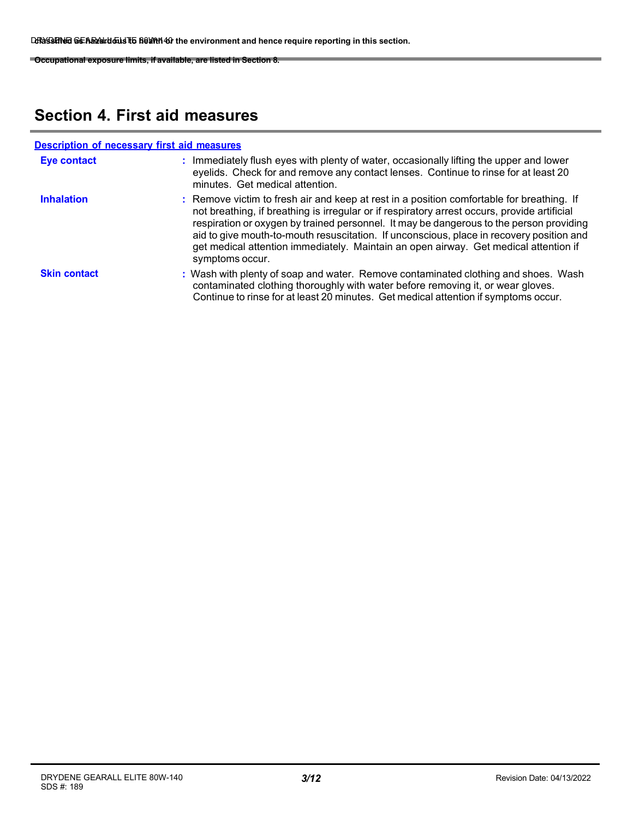**Occupational exposure limits, if available, are listed in Section 8.**

# **Section 4. First aid measures**

|                     | <b>Description of necessary first aid measures</b>                                                                                                                                                                                                                                                                                                                                                                                                                                          |
|---------------------|---------------------------------------------------------------------------------------------------------------------------------------------------------------------------------------------------------------------------------------------------------------------------------------------------------------------------------------------------------------------------------------------------------------------------------------------------------------------------------------------|
| <b>Eye contact</b>  | : Immediately flush eyes with plenty of water, occasionally lifting the upper and lower<br>eyelids. Check for and remove any contact lenses. Continue to rinse for at least 20<br>minutes. Get medical attention.                                                                                                                                                                                                                                                                           |
| <b>Inhalation</b>   | : Remove victim to fresh air and keep at rest in a position comfortable for breathing. If<br>not breathing, if breathing is irregular or if respiratory arrest occurs, provide artificial<br>respiration or oxygen by trained personnel. It may be dangerous to the person providing<br>aid to give mouth-to-mouth resuscitation. If unconscious, place in recovery position and<br>get medical attention immediately. Maintain an open airway. Get medical attention if<br>symptoms occur. |
| <b>Skin contact</b> | : Wash with plenty of soap and water. Remove contaminated clothing and shoes. Wash<br>contaminated clothing thoroughly with water before removing it, or wear gloves.<br>Continue to rinse for at least 20 minutes. Get medical attention if symptoms occur.                                                                                                                                                                                                                                |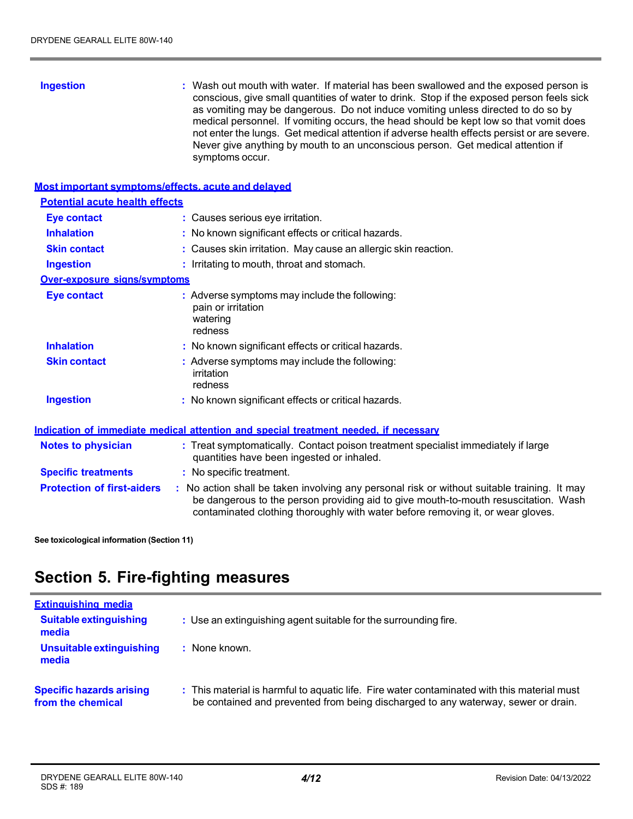| <b>Ingestion</b>                      | : Wash out mouth with water. If material has been swallowed and the exposed person is<br>conscious, give small quantities of water to drink. Stop if the exposed person feels sick<br>as vomiting may be dangerous. Do not induce vomiting unless directed to do so by<br>medical personnel. If vomiting occurs, the head should be kept low so that vomit does<br>not enter the lungs. Get medical attention if adverse health effects persist or are severe.<br>Never give anything by mouth to an unconscious person. Get medical attention if<br>symptoms occur. |
|---------------------------------------|----------------------------------------------------------------------------------------------------------------------------------------------------------------------------------------------------------------------------------------------------------------------------------------------------------------------------------------------------------------------------------------------------------------------------------------------------------------------------------------------------------------------------------------------------------------------|
|                                       | <b>Most important symptoms/effects, acute and delayed</b>                                                                                                                                                                                                                                                                                                                                                                                                                                                                                                            |
| <b>Potential acute health effects</b> |                                                                                                                                                                                                                                                                                                                                                                                                                                                                                                                                                                      |
| Eye contact                           | : Causes serious eye irritation.                                                                                                                                                                                                                                                                                                                                                                                                                                                                                                                                     |
| <b>Inhalation</b>                     | : No known significant effects or critical hazards.                                                                                                                                                                                                                                                                                                                                                                                                                                                                                                                  |
| <b>Skin contact</b>                   | : Causes skin irritation. May cause an allergic skin reaction.                                                                                                                                                                                                                                                                                                                                                                                                                                                                                                       |
| <b>Ingestion</b>                      | : Irritating to mouth, throat and stomach.                                                                                                                                                                                                                                                                                                                                                                                                                                                                                                                           |
| <b>Over-exposure signs/symptoms</b>   |                                                                                                                                                                                                                                                                                                                                                                                                                                                                                                                                                                      |
| <b>Eye contact</b>                    | : Adverse symptoms may include the following:<br>pain or irritation<br>watering<br>redness                                                                                                                                                                                                                                                                                                                                                                                                                                                                           |
| <b>Inhalation</b>                     | : No known significant effects or critical hazards.                                                                                                                                                                                                                                                                                                                                                                                                                                                                                                                  |

| <b>Skin contact</b> | : Adverse symptoms may include the following: |
|---------------------|-----------------------------------------------|
|                     | irritation                                    |
|                     | redness                                       |

**Ingestion :** No known significant effects or critical hazards.

## **Indication of immediate medical attention and special treatment needed, if necessary**

| <b>Notes to physician</b>         | : Treat symptomatically. Contact poison treatment specialist immediately if large<br>quantities have been ingested or inhaled.                                                                                                                                        |
|-----------------------------------|-----------------------------------------------------------------------------------------------------------------------------------------------------------------------------------------------------------------------------------------------------------------------|
| <b>Specific treatments</b>        | : No specific treatment.                                                                                                                                                                                                                                              |
| <b>Protection of first-aiders</b> | : No action shall be taken involving any personal risk or without suitable training. It may<br>be dangerous to the person providing aid to give mouth-to-mouth resuscitation. Wash<br>contaminated clothing thoroughly with water before removing it, or wear gloves. |

**See toxicological information (Section 11)**

# **Section 5. Fire-fighting measures**

| <b>Extinguishing media</b>                           |                                                                                                                                                                                  |
|------------------------------------------------------|----------------------------------------------------------------------------------------------------------------------------------------------------------------------------------|
| <b>Suitable extinguishing</b><br>media               | : Use an extinguishing agent suitable for the surrounding fire.                                                                                                                  |
| Unsuitable extinguishing<br>media                    | : None known.                                                                                                                                                                    |
| <b>Specific hazards arising</b><br>from the chemical | : This material is harmful to aquatic life. Fire water contaminated with this material must<br>be contained and prevented from being discharged to any waterway, sewer or drain. |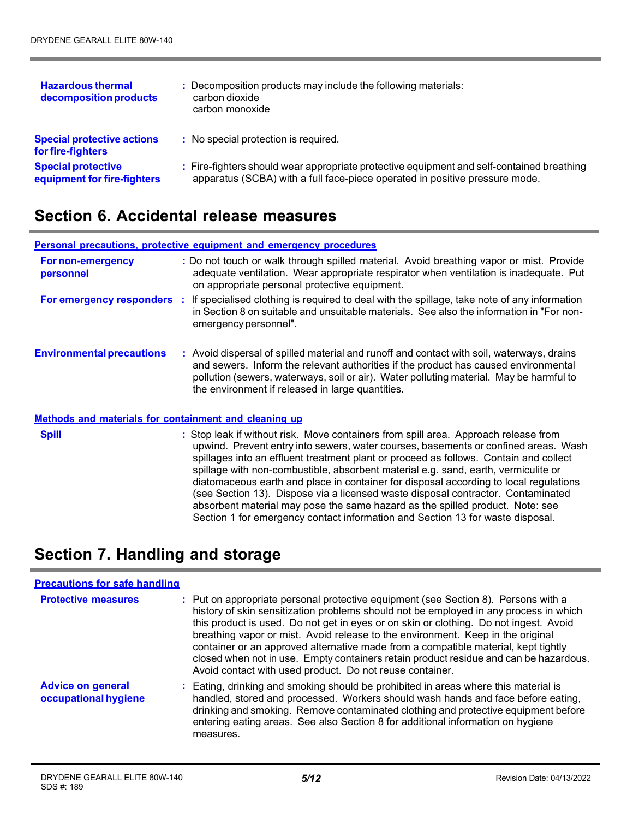| <b>Hazardous thermal</b><br>decomposition products       | : Decomposition products may include the following materials:<br>carbon dioxide<br>carbon monoxide                                                                       |
|----------------------------------------------------------|--------------------------------------------------------------------------------------------------------------------------------------------------------------------------|
| <b>Special protective actions</b><br>for fire-fighters   | : No special protection is required.                                                                                                                                     |
| <b>Special protective</b><br>equipment for fire-fighters | : Fire-fighters should wear appropriate protective equipment and self-contained breathing<br>apparatus (SCBA) with a full face-piece operated in positive pressure mode. |

## **Section 6. Accidental release measures**

|                                                       | Personal precautions, protective equipment and emergency procedures                                                                                                                                                                                                                                                             |  |  |  |
|-------------------------------------------------------|---------------------------------------------------------------------------------------------------------------------------------------------------------------------------------------------------------------------------------------------------------------------------------------------------------------------------------|--|--|--|
| For non-emergency<br>personnel                        | : Do not touch or walk through spilled material. Avoid breathing vapor or mist. Provide<br>adequate ventilation. Wear appropriate respirator when ventilation is inadequate. Put<br>on appropriate personal protective equipment.                                                                                               |  |  |  |
| <b>For emergency responders :</b>                     | If specialised clothing is required to deal with the spillage, take note of any information<br>in Section 8 on suitable and unsuitable materials. See also the information in "For non-<br>emergency personnel".                                                                                                                |  |  |  |
| <b>Environmental precautions</b>                      | : Avoid dispersal of spilled material and runoff and contact with soil, waterways, drains<br>and sewers. Inform the relevant authorities if the product has caused environmental<br>pollution (sewers, waterways, soil or air). Water polluting material. May be harmful to<br>the environment if released in large quantities. |  |  |  |
| Methods and materials for containment and cleaning up |                                                                                                                                                                                                                                                                                                                                 |  |  |  |
| <b>Spill</b>                                          | : Stop leak if without risk. Move containers from spill area. Approach release from<br>upwind. Prevent entry into sewers, water courses, basements or confined areas. Wash<br>coillages into an effluent treatment plant or presented as follows. Contain and collect                                                           |  |  |  |

spillages into an effluent treatment plant or proceed as follows. Contain and collect spillage with non-combustible, absorbent material e.g. sand, earth, vermiculite or diatomaceous earth and place in container for disposal according to local regulations (see Section 13). Dispose via a licensed waste disposal contractor. Contaminated absorbent material may pose the same hazard as the spilled product. Note: see Section 1 for emergency contact information and Section 13 for waste disposal.

# **Section 7. Handling and storage**

| <b>Precautions for safe handling</b>             |                                                                                                                                                                                                                                                                                                                                                                                                                                                                                                                                                                                                    |
|--------------------------------------------------|----------------------------------------------------------------------------------------------------------------------------------------------------------------------------------------------------------------------------------------------------------------------------------------------------------------------------------------------------------------------------------------------------------------------------------------------------------------------------------------------------------------------------------------------------------------------------------------------------|
| <b>Protective measures</b>                       | : Put on appropriate personal protective equipment (see Section 8). Persons with a<br>history of skin sensitization problems should not be employed in any process in which<br>this product is used. Do not get in eyes or on skin or clothing. Do not ingest. Avoid<br>breathing vapor or mist. Avoid release to the environment. Keep in the original<br>container or an approved alternative made from a compatible material, kept tightly<br>closed when not in use. Empty containers retain product residue and can be hazardous.<br>Avoid contact with used product. Do not reuse container. |
| <b>Advice on general</b><br>occupational hygiene | : Eating, drinking and smoking should be prohibited in areas where this material is<br>handled, stored and processed. Workers should wash hands and face before eating,<br>drinking and smoking. Remove contaminated clothing and protective equipment before<br>entering eating areas. See also Section 8 for additional information on hygiene<br>measures.                                                                                                                                                                                                                                      |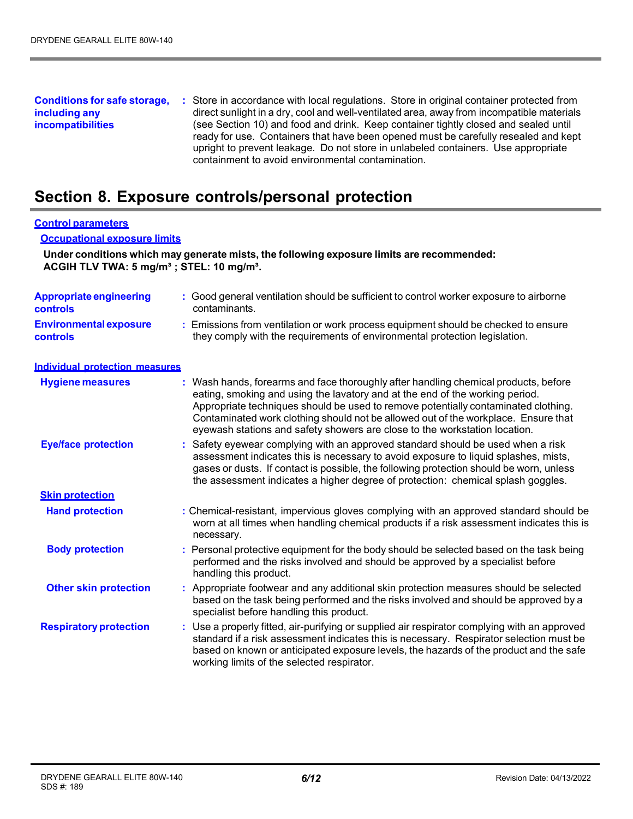#### **Conditions for safe storage, including any incompatibilities :** Store in accordance with local regulations. Store in original container protected from direct sunlight in a dry, cool and well-ventilated area, away from incompatible materials (see Section 10) and food and drink. Keep container tightly closed and sealed until ready for use. Containers that have been opened must be carefully resealed and kept upright to prevent leakage. Do not store in unlabeled containers. Use appropriate containment to avoid environmental contamination.

## **Section 8. Exposure controls/personal protection**

#### **Control parameters**

#### **Occupational exposure limits**

**Under conditions which may generate mists, the following exposure limits are recommended: ACGIH TLV TWA: 5 mg/m³ ; STEL: 10 mg/m³.**

| <b>Appropriate engineering</b><br><b>controls</b> | : Good general ventilation should be sufficient to control worker exposure to airborne<br>contaminants.                                                                                                                                                                                                                                                                                                                       |
|---------------------------------------------------|-------------------------------------------------------------------------------------------------------------------------------------------------------------------------------------------------------------------------------------------------------------------------------------------------------------------------------------------------------------------------------------------------------------------------------|
| <b>Environmental exposure</b><br><b>controls</b>  | : Emissions from ventilation or work process equipment should be checked to ensure<br>they comply with the requirements of environmental protection legislation.                                                                                                                                                                                                                                                              |
| <b>Individual protection measures</b>             |                                                                                                                                                                                                                                                                                                                                                                                                                               |
| <b>Hygiene measures</b>                           | : Wash hands, forearms and face thoroughly after handling chemical products, before<br>eating, smoking and using the lavatory and at the end of the working period.<br>Appropriate techniques should be used to remove potentially contaminated clothing.<br>Contaminated work clothing should not be allowed out of the workplace. Ensure that<br>eyewash stations and safety showers are close to the workstation location. |
| <b>Eye/face protection</b>                        | : Safety eyewear complying with an approved standard should be used when a risk<br>assessment indicates this is necessary to avoid exposure to liquid splashes, mists,<br>gases or dusts. If contact is possible, the following protection should be worn, unless<br>the assessment indicates a higher degree of protection: chemical splash goggles.                                                                         |
| <b>Skin protection</b>                            |                                                                                                                                                                                                                                                                                                                                                                                                                               |
| <b>Hand protection</b>                            | : Chemical-resistant, impervious gloves complying with an approved standard should be<br>worn at all times when handling chemical products if a risk assessment indicates this is<br>necessary.                                                                                                                                                                                                                               |
| <b>Body protection</b>                            | : Personal protective equipment for the body should be selected based on the task being<br>performed and the risks involved and should be approved by a specialist before<br>handling this product.                                                                                                                                                                                                                           |
| <b>Other skin protection</b>                      | : Appropriate footwear and any additional skin protection measures should be selected<br>based on the task being performed and the risks involved and should be approved by a<br>specialist before handling this product.                                                                                                                                                                                                     |
| <b>Respiratory protection</b>                     | : Use a properly fitted, air-purifying or supplied air respirator complying with an approved<br>standard if a risk assessment indicates this is necessary. Respirator selection must be<br>based on known or anticipated exposure levels, the hazards of the product and the safe<br>working limits of the selected respirator.                                                                                               |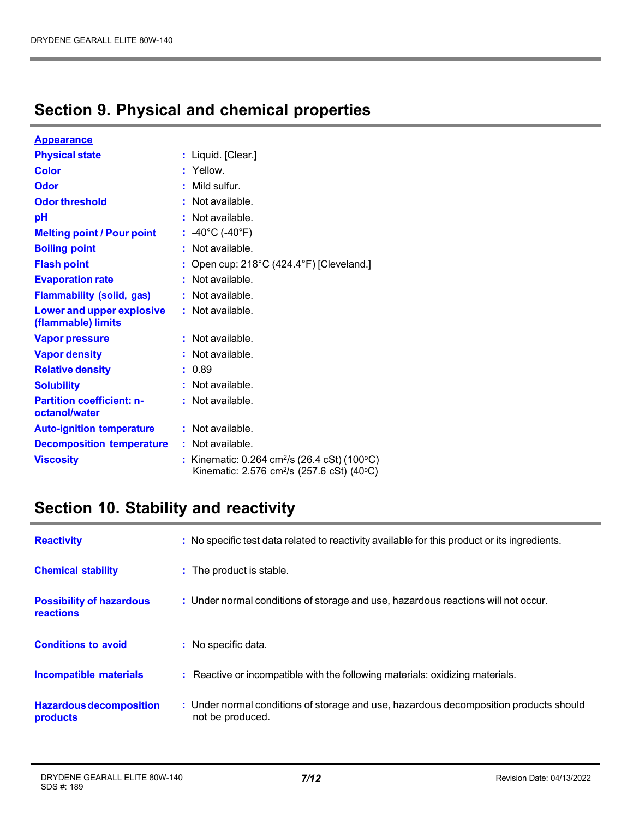# **Section 9. Physical and chemical properties**

| <u>Appearance</u>                                 |                                                                                                                               |
|---------------------------------------------------|-------------------------------------------------------------------------------------------------------------------------------|
| <b>Physical state</b>                             | : Liquid. [Clear.]                                                                                                            |
| <b>Color</b>                                      | : Yellow.                                                                                                                     |
| Odor                                              | Mild sulfur.                                                                                                                  |
| <b>Odor threshold</b>                             | : Not available.                                                                                                              |
| рH                                                | : Not available.                                                                                                              |
| <b>Melting point / Pour point</b>                 | : -40°C (-40°F)                                                                                                               |
| <b>Boiling point</b>                              | Not available.                                                                                                                |
| <b>Flash point</b>                                | Open cup: 218°C (424.4°F) [Cleveland.]                                                                                        |
| <b>Evaporation rate</b>                           | : Not available.                                                                                                              |
| <b>Flammability (solid, gas)</b>                  | : Not available.                                                                                                              |
| Lower and upper explosive<br>(flammable) limits   | : Not available.                                                                                                              |
| <b>Vapor pressure</b>                             | $:$ Not available.                                                                                                            |
| <b>Vapor density</b>                              | Not available.                                                                                                                |
| <b>Relative density</b>                           | : 0.89                                                                                                                        |
| <b>Solubility</b>                                 | Not available.                                                                                                                |
| <b>Partition coefficient: n-</b><br>octanol/water | : Not available.                                                                                                              |
| <b>Auto-ignition temperature</b>                  | : Not available.                                                                                                              |
| <b>Decomposition temperature</b>                  | $:$ Not available.                                                                                                            |
| <b>Viscosity</b>                                  | : Kinematic: 0.264 cm <sup>2</sup> /s (26.4 cSt) (100 $^{\circ}$ C)<br>Kinematic: 2.576 cm <sup>2</sup> /s (257.6 cSt) (40°C) |

# **Section 10. Stability and reactivity**

| <b>Reactivity</b>                            | : No specific test data related to reactivity available for this product or its ingredients.              |
|----------------------------------------------|-----------------------------------------------------------------------------------------------------------|
| <b>Chemical stability</b>                    | : The product is stable.                                                                                  |
| <b>Possibility of hazardous</b><br>reactions | : Under normal conditions of storage and use, hazardous reactions will not occur.                         |
| <b>Conditions to avoid</b>                   | : No specific data.                                                                                       |
| <b>Incompatible materials</b>                | : Reactive or incompatible with the following materials: oxidizing materials.                             |
| <b>Hazardous decomposition</b><br>products   | : Under normal conditions of storage and use, hazardous decomposition products should<br>not be produced. |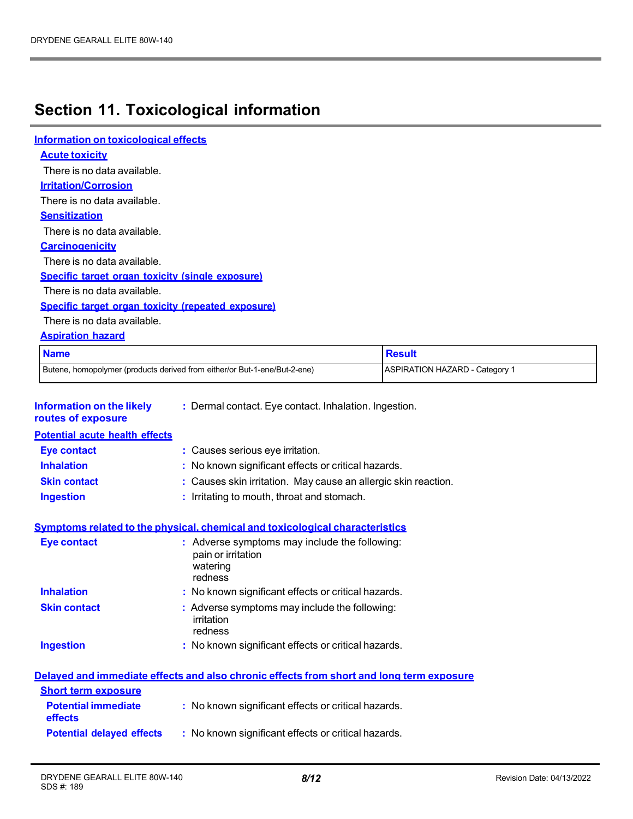# **Section 11. Toxicological information**

| Information on toxicological effects                                                                                                       |                                                                                                                                                  |                                       |
|--------------------------------------------------------------------------------------------------------------------------------------------|--------------------------------------------------------------------------------------------------------------------------------------------------|---------------------------------------|
| <b>Acute toxicity</b>                                                                                                                      |                                                                                                                                                  |                                       |
| There is no data available.                                                                                                                |                                                                                                                                                  |                                       |
| <b>Irritation/Corrosion</b>                                                                                                                |                                                                                                                                                  |                                       |
| There is no data available.                                                                                                                |                                                                                                                                                  |                                       |
| <b>Sensitization</b>                                                                                                                       |                                                                                                                                                  |                                       |
| There is no data available.                                                                                                                |                                                                                                                                                  |                                       |
| <b>Carcinogenicity</b>                                                                                                                     |                                                                                                                                                  |                                       |
| There is no data available.                                                                                                                |                                                                                                                                                  |                                       |
| Specific target organ toxicity (single exposure)                                                                                           |                                                                                                                                                  |                                       |
| There is no data available.                                                                                                                |                                                                                                                                                  |                                       |
| Specific target organ toxicity (repeated exposure)                                                                                         |                                                                                                                                                  |                                       |
| There is no data available.                                                                                                                |                                                                                                                                                  |                                       |
| <b>Aspiration hazard</b>                                                                                                                   |                                                                                                                                                  |                                       |
| <b>Name</b>                                                                                                                                |                                                                                                                                                  | <b>Result</b>                         |
|                                                                                                                                            | Butene, homopolymer (products derived from either/or But-1-ene/But-2-ene)                                                                        | <b>ASPIRATION HAZARD - Category 1</b> |
| <b>Information on the likely</b><br>routes of exposure<br><b>Potential acute health effects</b><br><b>Eye contact</b><br><b>Inhalation</b> | : Dermal contact. Eye contact. Inhalation. Ingestion.<br>: Causes serious eye irritation.<br>: No known significant effects or critical hazards. |                                       |
| <b>Skin contact</b>                                                                                                                        | : Causes skin irritation. May cause an allergic skin reaction.                                                                                   |                                       |
| <b>Ingestion</b>                                                                                                                           | : Irritating to mouth, throat and stomach.                                                                                                       |                                       |
|                                                                                                                                            | Symptoms related to the physical, chemical and toxicological characteristics                                                                     |                                       |
| <b>Eye contact</b>                                                                                                                         | : Adverse symptoms may include the following:<br>pain or irritation<br>watering<br>redness                                                       |                                       |
| <b>Inhalation</b>                                                                                                                          | : No known significant effects or critical hazards.                                                                                              |                                       |
| <b>Skin contact</b>                                                                                                                        | : Adverse symptoms may include the following:<br>irritation<br>redness                                                                           |                                       |
| <b>Ingestion</b>                                                                                                                           | : No known significant effects or critical hazards.                                                                                              |                                       |
|                                                                                                                                            | Delaved and immediate effects and also chronic effects from short and long term exposure                                                         |                                       |
| <b>Short term exposure</b>                                                                                                                 |                                                                                                                                                  |                                       |
| <b>Potential immediate</b><br>effects                                                                                                      | : No known significant effects or critical hazards.                                                                                              |                                       |
| <b>Potential delayed effects</b>                                                                                                           | : No known significant effects or critical hazards.                                                                                              |                                       |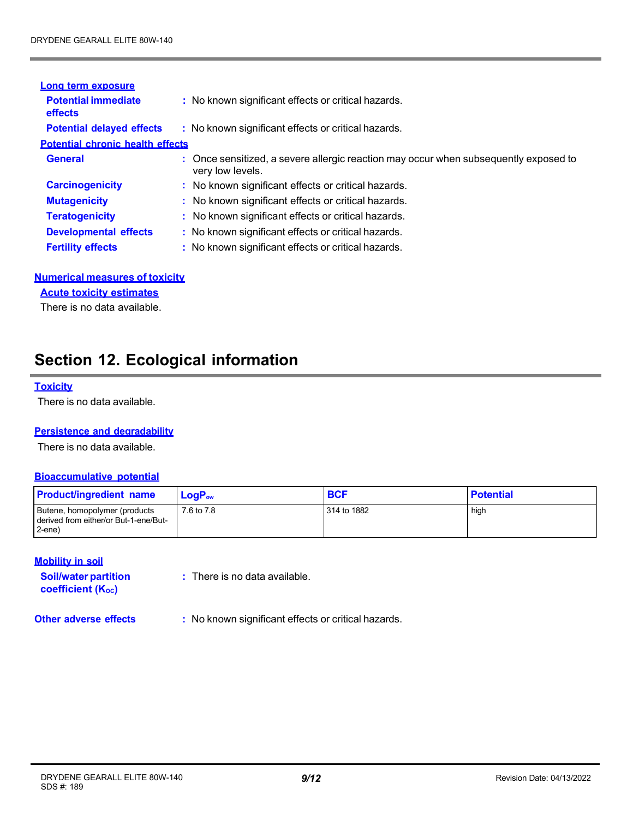| Long term exposure                      |                                                                                                          |
|-----------------------------------------|----------------------------------------------------------------------------------------------------------|
| <b>Potential immediate</b><br>effects   | : No known significant effects or critical hazards.                                                      |
| <b>Potential delayed effects</b>        | : No known significant effects or critical hazards.                                                      |
| <b>Potential chronic health effects</b> |                                                                                                          |
| <b>General</b>                          | : Once sensitized, a severe allergic reaction may occur when subsequently exposed to<br>very low levels. |
| <b>Carcinogenicity</b>                  | : No known significant effects or critical hazards.                                                      |
| <b>Mutagenicity</b>                     | : No known significant effects or critical hazards.                                                      |
| <b>Teratogenicity</b>                   | : No known significant effects or critical hazards.                                                      |
| <b>Developmental effects</b>            | : No known significant effects or critical hazards.                                                      |
| <b>Fertility effects</b>                | : No known significant effects or critical hazards.                                                      |

### **Numerical measures of toxicity**

**Acute toxicity estimates**

There is no data available.

## **Section 12. Ecological information**

### **Toxicity**

There is no data available.

#### **Persistence and degradability**

There is no data available.

### **Bioaccumulative potential**

| <b>Product/ingredient name</b>                                                           | $LoaPow$   | <b>BCF</b>  | <b>Potential</b> |
|------------------------------------------------------------------------------------------|------------|-------------|------------------|
| Butene, homopolymer (products<br>I derived from either/or But-1-ene/But-<br>$2$ -ene $)$ | 7.6 to 7.8 | 314 to 1882 | high             |

### **Mobility in soil**

**Soil/water partition**  coefficient (Koc)

**:** There is no data available.

**Other adverse effects :** No known significant effects or critical hazards.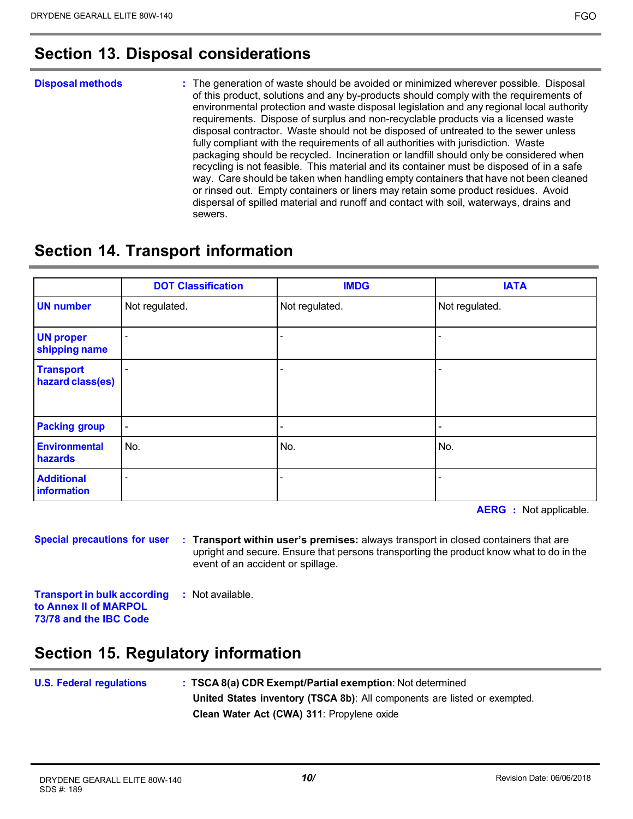## **Section 13. Disposal considerations**

#### **Disposal methods :** The generation of waste should be avoided or minimized wherever possible. Disposal of this product, solutions and any by-products should comply with the requirements of environmental protection and waste disposal legislation and any regional local authority requirements. Dispose of surplus and non-recyclable products via a licensed waste disposal contractor. Waste should not be disposed of untreated to the sewer unless fully compliant with the requirements of all authorities with jurisdiction. Waste packaging should be recycled. Incineration or landfill should only be considered when recycling is not feasible. This material and its container must be disposed of in a safe way. Care should be taken when handling empty containers that have not been cleaned or rinsed out. Empty containers or liners may retain some product residues. Avoid dispersal of spilled material and runoff and contact with soil, waterways, drains and sewers.

## **Section 14. Transport information**

|                                      | <b>DOT Classification</b> | <b>IMDG</b>    | <b>IATA</b>    |
|--------------------------------------|---------------------------|----------------|----------------|
| <b>UN number</b>                     | Not regulated.            | Not regulated. | Not regulated. |
| <b>UN proper</b><br>shipping name    |                           |                |                |
| <b>Transport</b><br>hazard class(es) |                           |                |                |
| <b>Packing group</b>                 | $\blacksquare$            | -              | -              |
| <b>Environmental</b><br>hazards      | No.                       | No.            | No.            |
| <b>Additional</b><br>information     |                           |                |                |

**AERG :** Not applicable.

**Special precautions for user**

**: Transport within user's premises:** always transport in closed containers that are upright and secure. Ensure that persons transporting the product know what to do in the event of an accident or spillage.

**Transport in bulk according to Annex II of MARPOL 73/78 and the IBC Code :** Not available.

# **Section 15. Regulatory information**

| <b>U.S. Federal regulations</b> | : TSCA 8(a) CDR Exempt/Partial exemption: Not determined                  |
|---------------------------------|---------------------------------------------------------------------------|
|                                 | United States inventory (TSCA 8b): All components are listed or exempted. |
|                                 | Clean Water Act (CWA) 311: Propylene oxide                                |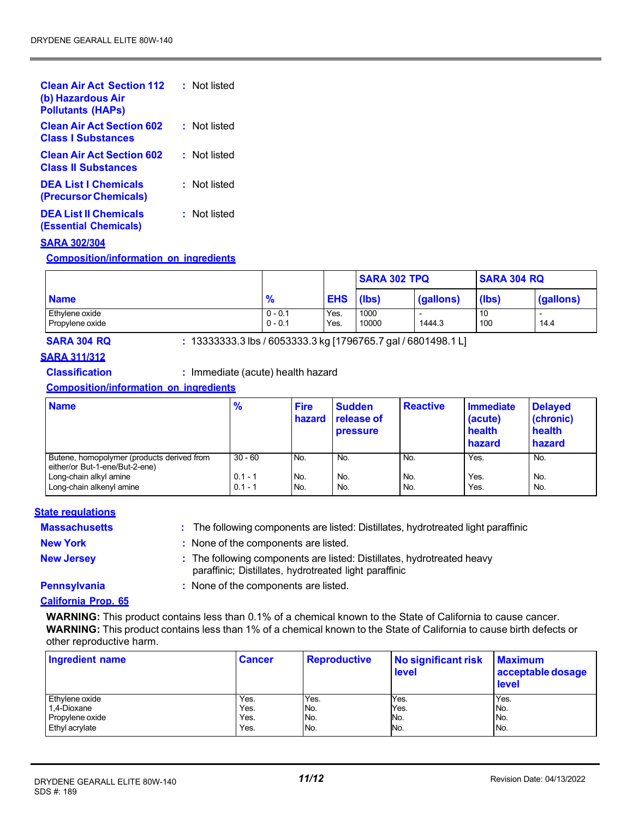| <b>Clean Air Act Section 112</b><br>(b) Hazardous Air<br><b>Pollutants (HAPs)</b> | : Not listed |
|-----------------------------------------------------------------------------------|--------------|
| <b>Clean Air Act Section 602</b><br><b>Class I Substances</b>                     | : Not listed |
| <b>Clean Air Act Section 602</b><br><b>Class II Substances</b>                    | : Not listed |
| <b>DEA List I Chemicals</b><br>(Precursor Chemicals)                              | : Not listed |
| <b>DEA List II Chemicals</b><br>(Essential Chemicals)                             | : Not listed |

#### **SARA 302/304**

**Composition/information on ingredients**

|                                   |                        |              | <b>SARA 302 TPQ</b> |           | <b>SARA 304 RQ</b> |           |
|-----------------------------------|------------------------|--------------|---------------------|-----------|--------------------|-----------|
| <b>Name</b>                       | $\frac{9}{6}$          | <b>EHS</b>   | (lbs)               | (gallons) | (Ibs)              | (gallons) |
| Ethylene oxide<br>Propylene oxide | $0 - 0.1$<br>$0 - 0.1$ | Yes.<br>Yes. | 1000<br>10000       | 1444.3    | 10<br>100          | 14.4      |

## **SARA 304 RQ :** 13333333.3 lbs / 6053333.3 kg [1796765.7 gal / 6801498.1 L]

#### **SARA 311/312**

**Classification :** Immediate (acute) health hazard

### **Composition/information on ingredients**

| <b>Name</b>                                                                  | $\frac{9}{6}$          | <b>Fire</b><br>hazard | <b>Sudden</b><br>release of<br><b>pressure</b> | <b>Reactive</b> | Immediate<br>(acute)<br>health<br>hazard | <b>Delayed</b><br>(chronic)<br>health<br>hazard |
|------------------------------------------------------------------------------|------------------------|-----------------------|------------------------------------------------|-----------------|------------------------------------------|-------------------------------------------------|
| Butene, homopolymer (products derived from<br>either/or But-1-ene/But-2-ene) | $30 - 60$<br>$0.1 - 1$ | No.<br>No.            | No.<br>No.                                     | No.<br>No.      | Yes.<br>Yes.                             | No.<br>No.                                      |
| Long-chain alkyl amine<br>Long-chain alkenyl amine                           | $0.1 - 1$              | No.                   | No.                                            | No.             | Yes.                                     | No.                                             |

#### **State regulations**

| <b>Massachusetts</b> | : The following components are listed: Distillates, hydrotreated light paraffinic                                                |
|----------------------|----------------------------------------------------------------------------------------------------------------------------------|
| <b>New York</b>      | : None of the components are listed.                                                                                             |
| <b>New Jersey</b>    | : The following components are listed: Distillates, hydrotreated heavy<br>paraffinic; Distillates, hydrotreated light paraffinic |
| <b>Pennsylvania</b>  | : None of the components are listed.                                                                                             |

#### **California Prop. 65**

**WARNING:** This product contains less than 0.1% of a chemical known to the State of California to cause cancer. **WARNING:** This product contains less than 1% of a chemical known to the State of California to cause birth defects or other reproductive harm.

| Ingredient name | <b>Cancer</b> | <b>Reproductive</b> | No significant risk<br>level | <b>Maximum</b><br>acceptable dosage<br>level |
|-----------------|---------------|---------------------|------------------------------|----------------------------------------------|
| Ethylene oxide  | Yes.          | Yes.                | Yes.                         | Yes.                                         |
| 1,4-Dioxane     | Yes.          | No.                 | Yes.                         | No.                                          |
| Propylene oxide | Yes.          | No.                 | No.                          | No.                                          |
| Ethyl acrylate  | Yes.          | IN <sub>o</sub>     | No.                          | No.                                          |